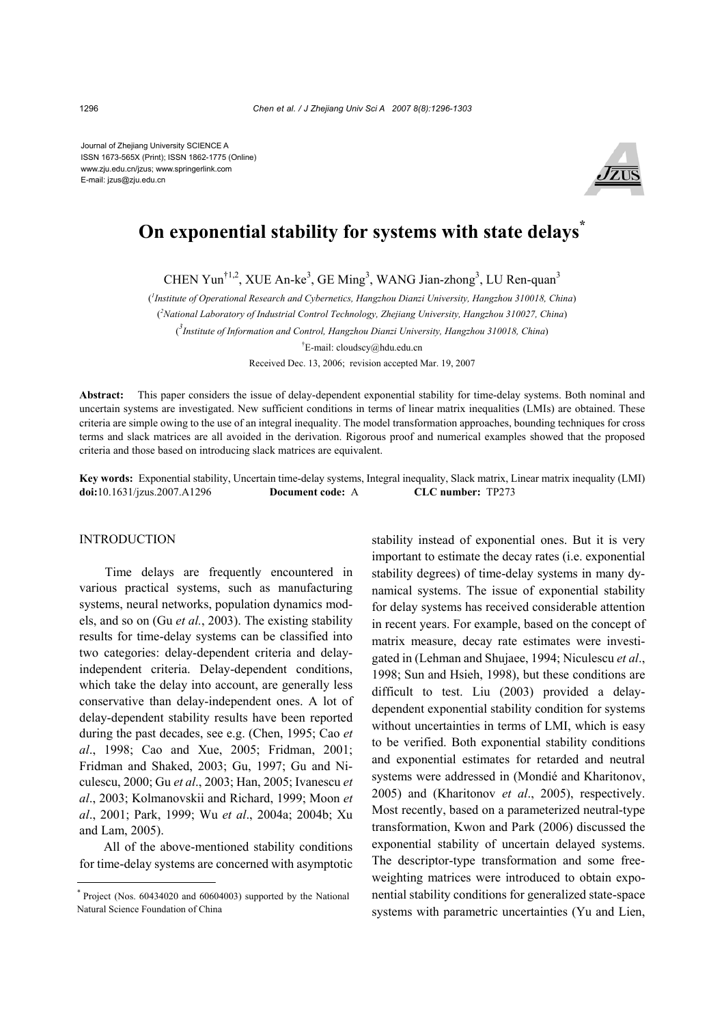Journal of Zhejiang University SCIENCE A ISSN 1673-565X (Print); ISSN 1862-1775 (Online) www.zju.edu.cn/jzus; www.springerlink.com E-mail: jzus@zju.edu.cn



# **On exponential stability for systems with state delays\***

CHEN Yun<sup>†1,2</sup>, XUE An-ke<sup>3</sup>, GE Ming<sup>3</sup>, WANG Jian-zhong<sup>3</sup>, LU Ren-quan<sup>3</sup>

( *1 Institute of Operational Research and Cybernetics, Hangzhou Dianzi University, Hangzhou 310018, China*) ( *2 National Laboratory of Industrial Control Technology, Zhejiang University, Hangzhou 310027, China*) ( *3 Institute of Information and Control, Hangzhou Dianzi University, Hangzhou 310018, China*) † E-mail: cloudscy@hdu.edu.cn

Received Dec. 13, 2006; revision accepted Mar. 19, 2007

**Abstract:** This paper considers the issue of delay-dependent exponential stability for time-delay systems. Both nominal and uncertain systems are investigated. New sufficient conditions in terms of linear matrix inequalities (LMIs) are obtained. These criteria are simple owing to the use of an integral inequality. The model transformation approaches, bounding techniques for cross terms and slack matrices are all avoided in the derivation. Rigorous proof and numerical examples showed that the proposed criteria and those based on introducing slack matrices are equivalent.

**Key words:** Exponential stability, Uncertain time-delay systems, Integral inequality, Slack matrix, Linear matrix inequality (LMI) **doi:**10.1631/jzus.2007.A1296 **Document code:** A **CLC number:** TP273

## INTRODUCTION

Time delays are frequently encountered in various practical systems, such as manufacturing systems, neural networks, population dynamics models, and so on (Gu *et al.*, 2003). The existing stability results for time-delay systems can be classified into two categories: delay-dependent criteria and delayindependent criteria. Delay-dependent conditions, which take the delay into account, are generally less conservative than delay-independent ones. A lot of delay-dependent stability results have been reported during the past decades, see e.g. (Chen, 1995; Cao *et al*., 1998; Cao and Xue, 2005; Fridman, 2001; Fridman and Shaked, 2003; Gu, 1997; Gu and Niculescu, 2000; Gu *et al*., 2003; Han, 2005; Ivanescu *et al*., 2003; Kolmanovskii and Richard, 1999; Moon *et al*., 2001; Park, 1999; Wu *et al*., 2004a; 2004b; Xu and Lam, 2005).

All of the above-mentioned stability conditions for time-delay systems are concerned with asymptotic stability instead of exponential ones. But it is very important to estimate the decay rates (i.e. exponential stability degrees) of time-delay systems in many dynamical systems. The issue of exponential stability for delay systems has received considerable attention in recent years. For example, based on the concept of matrix measure, decay rate estimates were investigated in (Lehman and Shujaee, 1994; Niculescu *et al*., 1998; Sun and Hsieh, 1998), but these conditions are difficult to test. Liu (2003) provided a delaydependent exponential stability condition for systems without uncertainties in terms of LMI, which is easy to be verified. Both exponential stability conditions and exponential estimates for retarded and neutral systems were addressed in (Mondié and Kharitonov, 2005) and (Kharitonov *et al*., 2005), respectively. Most recently, based on a parameterized neutral-type transformation, Kwon and Park (2006) discussed the exponential stability of uncertain delayed systems. The descriptor-type transformation and some freeweighting matrices were introduced to obtain exponential stability conditions for generalized state-space systems with parametric uncertainties (Yu and Lien,

Project (Nos. 60434020 and 60604003) supported by the National Natural Science Foundation of China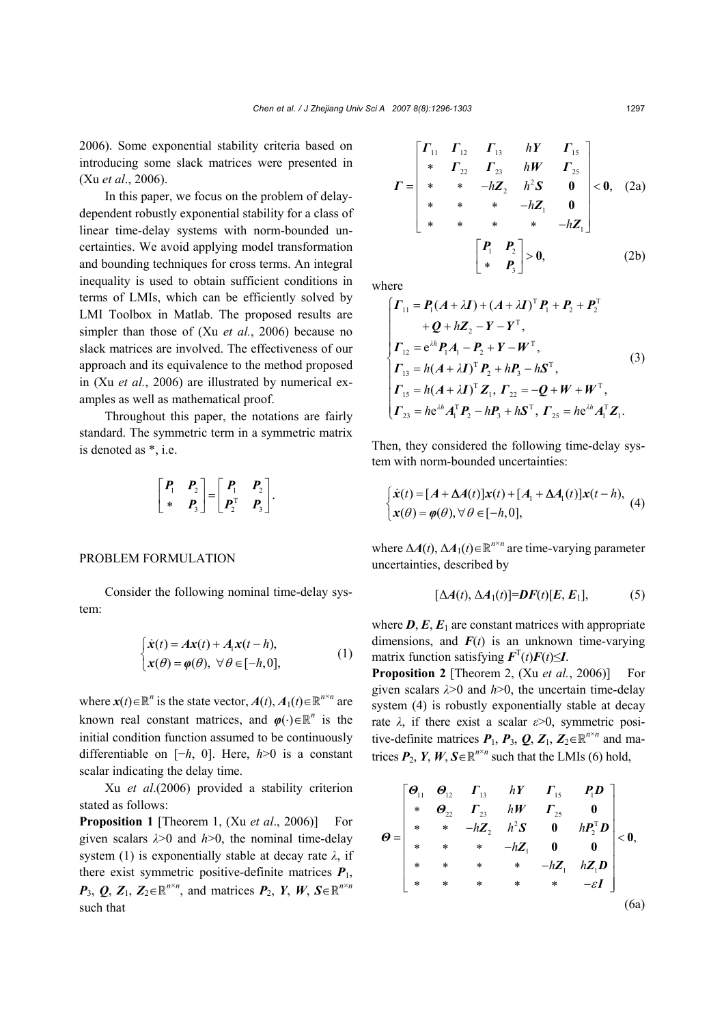2006). Some exponential stability criteria based on introducing some slack matrices were presented in (Xu *et al*., 2006).

In this paper, we focus on the problem of delaydependent robustly exponential stability for a class of linear time-delay systems with norm-bounded uncertainties. We avoid applying model transformation and bounding techniques for cross terms. An integral inequality is used to obtain sufficient conditions in terms of LMIs, which can be efficiently solved by LMI Toolbox in Matlab. The proposed results are simpler than those of (Xu *et al.*, 2006) because no slack matrices are involved. The effectiveness of our approach and its equivalence to the method proposed in (Xu *et al.*, 2006) are illustrated by numerical examples as well as mathematical proof.

Throughout this paper, the notations are fairly standard. The symmetric term in a symmetric matrix is denoted as \*, i.e.

$$
\begin{bmatrix} P_1 & P_2 \ \ast & P_3 \end{bmatrix} = \begin{bmatrix} P_1 & P_2 \ P_2^T & P_3 \end{bmatrix}.
$$

### PROBLEM FORMULATION

Consider the following nominal time-delay system:

$$
\begin{cases}\n\dot{\mathbf{x}}(t) = A\mathbf{x}(t) + A_1\mathbf{x}(t - h), \\
\mathbf{x}(\theta) = \varphi(\theta), \ \forall \ \theta \in [-h, 0],\n\end{cases}
$$
\n(1)

where  $\mathbf{x}(t) \in \mathbb{R}^n$  is the state vector,  $A(t)$ ,  $A_1(t) \in \mathbb{R}^{n \times n}$  are known real constant matrices, and  $\varphi(\cdot) \in \mathbb{R}^n$  is the initial condition function assumed to be continuously differentiable on [−*h*, 0]. Here, *h*>0 is a constant scalar indicating the delay time.

Xu *et al*.(2006) provided a stability criterion stated as follows:

**Proposition 1** [Theorem 1, (Xu *et al*., 2006)] For given scalars  $\lambda > 0$  and  $h > 0$ , the nominal time-delay system (1) is exponentially stable at decay rate *λ*, if there exist symmetric positive-definite matrices  $P_1$ ,  $P_3$ ,  $Q$ ,  $Z_1$ ,  $Z_2 \in \mathbb{R}^{n \times n}$ , and matrices  $P_2$ ,  $Y$ ,  $W$ ,  $S \in \mathbb{R}^{n \times n}$ such that

$$
\boldsymbol{\Gamma} = \begin{bmatrix} \boldsymbol{\Gamma}_{11} & \boldsymbol{\Gamma}_{12} & \boldsymbol{\Gamma}_{13} & h\boldsymbol{\Upsilon} & \boldsymbol{\Gamma}_{15} \\ \ast & \boldsymbol{\Gamma}_{22} & \boldsymbol{\Gamma}_{23} & h\boldsymbol{\W} & \boldsymbol{\Gamma}_{25} \\ \ast & \ast & -h\boldsymbol{Z}_{2} & h^{2}\boldsymbol{S} & \boldsymbol{0} \\ \ast & \ast & \ast & -h\boldsymbol{Z}_{1} & \boldsymbol{0} \\ \ast & \ast & \ast & \ast & -h\boldsymbol{Z}_{1} \end{bmatrix} < \boldsymbol{0}, \quad (2a)
$$
\n
$$
\begin{bmatrix} P_{1} & P_{2} \\ \ast & P_{3} \end{bmatrix} > \boldsymbol{0}, \quad (2b)
$$

where

$$
\begin{cases}\n\Gamma_{11} = P_1(A + \lambda I) + (A + \lambda I)^T P_1 + P_2 + P_2^T \\
+ Q + hZ_2 - Y - Y^T, \\
\Gamma_{12} = e^{\lambda h} P_1 A_1 - P_2 + Y - W^T, \\
\Gamma_{13} = h(A + \lambda I)^T P_2 + hP_3 - hS^T, \\
\Gamma_{15} = h(A + \lambda I)^T Z_1, \Gamma_{22} = -Q + W + W^T, \\
\Gamma_{23} = h e^{\lambda h} A_1^T P_2 - hP_3 + hS^T, \Gamma_{25} = h e^{\lambda h} A_1^T Z_1.\n\end{cases}
$$
\n(3)

Then, they considered the following time-delay system with norm-bounded uncertainties:

$$
\begin{cases}\n\dot{\mathbf{x}}(t) = [A + \Delta A(t)]\mathbf{x}(t) + [A_1 + \Delta A_1(t)]\mathbf{x}(t - h), \\
\mathbf{x}(\theta) = \varphi(\theta), \forall \theta \in [-h, 0],\n\end{cases} (4)
$$

where  $\Delta A(t)$ ,  $\Delta A_1(t) \in \mathbb{R}^{n \times n}$  are time-varying parameter uncertainties, described by

$$
[\Delta A(t), \Delta A_1(t)] = DF(t)[E, E_1], \tag{5}
$$

where  $D$ ,  $E$ ,  $E_1$  are constant matrices with appropriate dimensions, and  $F(t)$  is an unknown time-varying matrix function satisfying  $\mathbf{F}^{T}(t)\mathbf{F}(t) \leq I$ .

**Proposition 2** [Theorem 2, (Xu *et al.*, 2006)] For given scalars *λ*>0 and *h*>0, the uncertain time-delay system (4) is robustly exponentially stable at decay rate *λ*, if there exist a scalar *ε*>0, symmetric positive-definite matrices  $P_1$ ,  $P_3$ ,  $Q$ ,  $Z_1$ ,  $Z_2 \in \mathbb{R}^{n \times n}$  and matrices  $P_2$ ,  $Y$ ,  $W$ ,  $S \in \mathbb{R}^{n \times n}$  such that the LMIs (6) hold,

$$
\theta = \begin{bmatrix} \theta_{11} & \theta_{12} & \Gamma_{13} & hY & \Gamma_{15} & P_1D \\ * & \theta_{22} & \Gamma_{23} & hW & \Gamma_{25} & 0 \\ * & * & -hZ_2 & h^2S & 0 & hP_2^TD \\ * & * & * & -hZ_1 & 0 & 0 \\ * & * & * & * & -hZ_1 & hZ_1D \\ * & * & * & * & * & -\varepsilon I \end{bmatrix} < 0,
$$
\n(6a)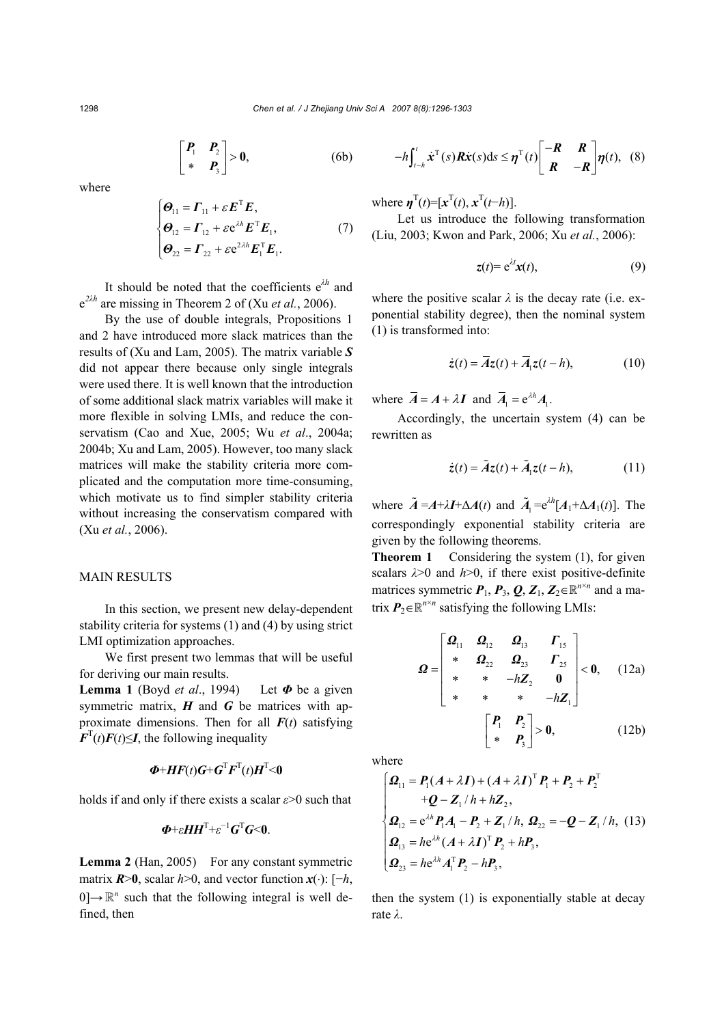$$
\begin{bmatrix} P_1 & P_2 \\ * & P_3 \end{bmatrix} > 0, \tag{6b}
$$

where

$$
\begin{cases}\n\boldsymbol{\Theta}_{11} = \boldsymbol{\varGamma}_{11} + \varepsilon \boldsymbol{E}^{\mathrm{T}} \boldsymbol{E}, \\
\boldsymbol{\Theta}_{12} = \boldsymbol{\varGamma}_{12} + \varepsilon e^{\lambda h} \boldsymbol{E}^{\mathrm{T}} \boldsymbol{E}_1, \\
\boldsymbol{\varTheta}_{22} = \boldsymbol{\varGamma}_{22} + \varepsilon e^{2\lambda h} \boldsymbol{E}_1^{\mathrm{T}} \boldsymbol{E}_1.\n\end{cases} (7)
$$

It should be noted that the coefficients  $e^{\lambda h}$  and  $e^{2\lambda h}$  are missing in Theorem 2 of (Xu *et al.*, 2006).

By the use of double integrals, Propositions 1 and 2 have introduced more slack matrices than the results of (Xu and Lam, 2005). The matrix variable *S* did not appear there because only single integrals were used there. It is well known that the introduction of some additional slack matrix variables will make it more flexible in solving LMIs, and reduce the conservatism (Cao and Xue, 2005; Wu *et al*., 2004a; 2004b; Xu and Lam, 2005). However, too many slack matrices will make the stability criteria more complicated and the computation more time-consuming, which motivate us to find simpler stability criteria without increasing the conservatism compared with (Xu *et al.*, 2006).

#### MAIN RESULTS

In this section, we present new delay-dependent stability criteria for systems (1) and (4) by using strict LMI optimization approaches.

We first present two lemmas that will be useful for deriving our main results.

**Lemma 1** (Boyd *et al*., 1994)Let *Φ* be a given symmetric matrix,  $H$  and  $G$  be matrices with approximate dimensions. Then for all  $F(t)$  satisfying  $F<sup>T</sup>(t)F(t) \leq I$ , the following inequality

$$
\boldsymbol{\Phi} + \boldsymbol{H}\boldsymbol{F}(t)\boldsymbol{G} + \boldsymbol{G}^{\mathrm{T}}\boldsymbol{F}^{\mathrm{T}}(t)\boldsymbol{H}^{\mathrm{T}} < 0
$$

holds if and only if there exists a scalar *ε*>0 such that

$$
\boldsymbol{\Phi} + \varepsilon \boldsymbol{H} \boldsymbol{H}^{\mathrm{T}} + \varepsilon^{-1} \boldsymbol{G}^{\mathrm{T}} \boldsymbol{G} \leq 0.
$$

**Lemma 2** (Han, 2005)For any constant symmetric matrix  $\mathbf{R} > 0$ , scalar  $h > 0$ , and vector function  $\mathbf{x}(\cdot)$ : [−*h*,  $0 \rightarrow \mathbb{R}^n$  such that the following integral is well defined, then

$$
-h\int_{t-h}^{t} \dot{x}^{\mathrm{T}}(s)R\dot{x}(s)\mathrm{d}s \leq \eta^{\mathrm{T}}(t)\begin{bmatrix} -R & R \\ R & -R \end{bmatrix} \eta(t), \quad (8)
$$

where  $\mathbf{\eta}^{T}(t) = [x^{T}(t), x^{T}(t-h)].$ 

Let us introduce the following transformation (Liu, 2003; Kwon and Park, 2006; Xu *et al.*, 2006):

$$
z(t) = e^{\lambda t} x(t), \tag{9}
$$

where the positive scalar  $\lambda$  is the decay rate (i.e. exponential stability degree), then the nominal system (1) is transformed into:

$$
\dot{z}(t) = \overline{A}z(t) + \overline{A}_1 z(t - h), \qquad (10)
$$

where  $\overline{A} = A + \lambda I$  and  $\overline{A}_1 = e^{\lambda h} A_1$ .

Accordingly, the uncertain system (4) can be rewritten as

$$
\dot{z}(t) = \tilde{A}z(t) + \tilde{A}_1 z(t - h), \qquad (11)
$$

where  $\tilde{A} = A + \lambda I + \Delta A(t)$  and  $\tilde{A}_1 = e^{\lambda h} [A_1 + \Delta A_1(t)]$ . The correspondingly exponential stability criteria are given by the following theorems.

**Theorem 1** Considering the system (1), for given scalars  $\lambda > 0$  and  $h > 0$ , if there exist positive-definite matrices symmetric  $P_1$ ,  $P_3$ ,  $Q$ ,  $Z_1$ ,  $Z_2 \in \mathbb{R}^{n \times n}$  and a matrix  $P_2 \in \mathbb{R}^{n \times n}$  satisfying the following LMIs:

$$
\mathbf{Q} = \begin{bmatrix} \mathbf{\Omega}_{11} & \mathbf{\Omega}_{12} & \mathbf{\Omega}_{13} & \mathbf{\Gamma}_{15} \\ * & \mathbf{\Omega}_{22} & \mathbf{\Omega}_{23} & \mathbf{\Gamma}_{25} \\ * & * & -h\mathbf{Z}_{2} & 0 \\ * & * & * & -h\mathbf{Z}_{1} \end{bmatrix} < 0, \quad (12a)
$$

$$
\begin{bmatrix} P_1 & P_2 \\ * & P_3 \end{bmatrix} > 0, \quad (12b)
$$

where

$$
\begin{cases}\n\mathbf{Q}_{11} = \mathbf{P}_{1}(A + \lambda I) + (A + \lambda I)^{T} \mathbf{P}_{1} + \mathbf{P}_{2} + \mathbf{P}_{2}^{T} \n+ \mathbf{Q} - \mathbf{Z}_{1} / h + h \mathbf{Z}_{2}, \n\mathbf{Q}_{12} = e^{\lambda h} \mathbf{P}_{1} A_{1} - \mathbf{P}_{2} + \mathbf{Z}_{1} / h, \ \mathbf{\Omega}_{22} = -\mathbf{Q} - \mathbf{Z}_{1} / h, \ (13) \n\mathbf{Q}_{13} = h e^{\lambda h} (A + \lambda I)^{T} \mathbf{P}_{2} + h \mathbf{P}_{3}, \n\mathbf{Q}_{23} = h e^{\lambda h} A_{1}^{T} \mathbf{P}_{2} - h \mathbf{P}_{3},\n\end{cases}
$$

then the system (1) is exponentially stable at decay rate *λ*.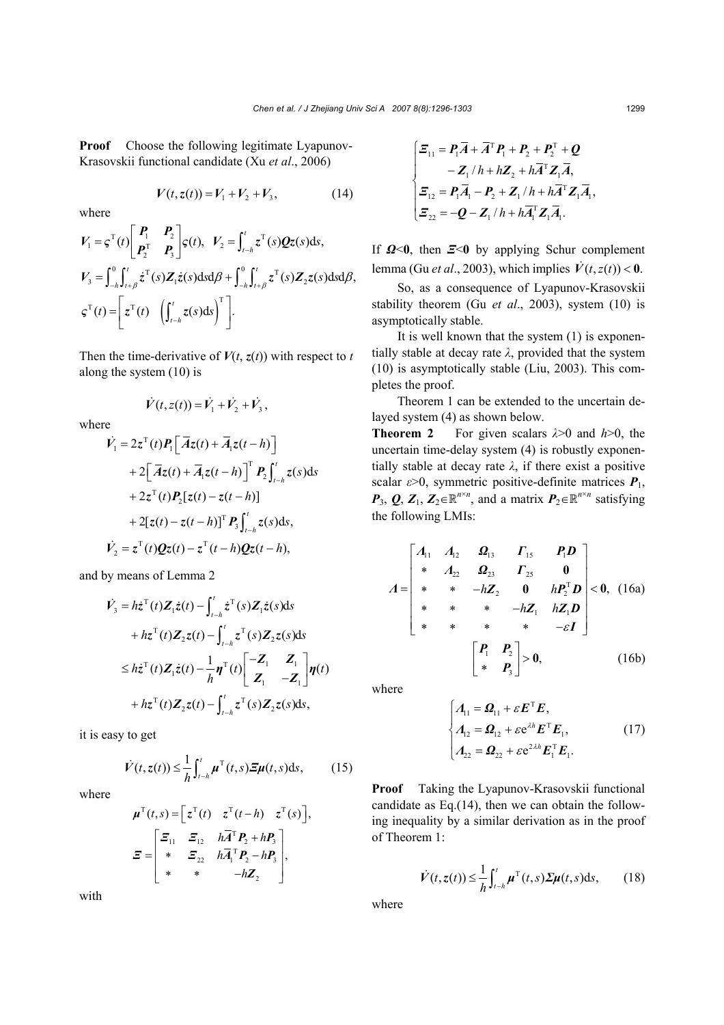**Proof** Choose the following legitimate Lyapunov-Krasovskii functional candidate (Xu *et al*., 2006)

$$
V(t, z(t)) = V_1 + V_2 + V_3, \qquad (14)
$$

where

$$
V_1 = \varsigma^{\mathrm{T}}(t) \begin{bmatrix} P_1 & P_2 \\ P_2^{\mathrm{T}} & P_3 \end{bmatrix} \varsigma(t), \quad V_2 = \int_{t-h}^t z^{\mathrm{T}}(s) Qz(s) \mathrm{d}s,
$$
  

$$
V_3 = \int_{-h}^0 \int_{t+\beta}^t z^{\mathrm{T}}(s) Z_1 \dot{z}(s) \mathrm{d}s \mathrm{d}\beta + \int_{-h}^0 \int_{t+\beta}^t z^{\mathrm{T}}(s) Z_2 z(s) \mathrm{d}s \mathrm{d}\beta,
$$
  

$$
\varsigma^{\mathrm{T}}(t) = \begin{bmatrix} z^{\mathrm{T}}(t) & \left( \int_{t-h}^t z(s) \mathrm{d}s \right)^{\mathrm{T}} \end{bmatrix}.
$$

Then the time-derivative of  $V(t, z(t))$  with respect to *t* along the system (10) is

 $\dot{V}(t, z(t)) = \dot{V}_1 + \dot{V}_2 + \dot{V}_3,$ 

where

$$
\dot{V}_1 = 2z^{\mathrm{T}}(t)P_1[\overline{A}z(t) + \overline{A}_1z(t-h)]
$$
  
+2[\overline{A}z(t) + \overline{A}\_1z(t-h)]^{\mathrm{T}} P\_2\int\_{t-h}^{t} z(s)ds  
+2z^{\mathrm{T}}(t)P\_2[z(t) - z(t-h)]  
+2[z(t) - z(t-h)]^{\mathrm{T}} P\_3\int\_{t-h}^{t} z(s)ds,  
\n
$$
\dot{V}_2 = z^{\mathrm{T}}(t)Qz(t) - z^{\mathrm{T}}(t-h)Qz(t-h),
$$

and by means of Lemma 2

$$
\dot{V}_3 = h\dot{z}^{T}(t)\mathbf{Z}_1\dot{z}(t) - \int_{t-h}^{t} \dot{z}^{T}(s)\mathbf{Z}_1\dot{z}(s)ds
$$
\n
$$
+ h\dot{z}^{T}(t)\mathbf{Z}_2z(t) - \int_{t-h}^{t} z^{T}(s)\mathbf{Z}_2z(s)ds
$$
\n
$$
\leq h\dot{z}^{T}(t)\mathbf{Z}_1\dot{z}(t) - \frac{1}{h}\boldsymbol{\eta}^{T}(t)\begin{bmatrix} -\mathbf{Z}_1 & \mathbf{Z}_1 \\ \mathbf{Z}_1 & -\mathbf{Z}_1 \end{bmatrix}\boldsymbol{\eta}(t)
$$
\n
$$
+ h\dot{z}^{T}(t)\mathbf{Z}_2z(t) - \int_{t-h}^{t} z^{T}(s)\mathbf{Z}_2z(s)ds,
$$

it is easy to get

$$
\dot{V}(t, z(t)) \leq \frac{1}{h} \int_{t-h}^{t} \mu^{T}(t, s) \mathbf{\Xi} \mu(t, s) \mathrm{d}s, \qquad (15)
$$

where

$$
\mu^{\mathrm{T}}(t,s) = \left[z^{\mathrm{T}}(t) \quad z^{\mathrm{T}}(t-h) \quad z^{\mathrm{T}}(s)\right],
$$
\n
$$
\Xi = \begin{bmatrix} \Xi_{11} & \Xi_{12} & h\overline{A}^{\mathrm{T}}P_2 + hP_3\\ * & \Xi_{22} & h\overline{A}_1^{\mathrm{T}}P_2 - hP_3\\ * & * & -h\mathbf{Z}_2 \end{bmatrix},
$$

with

$$
\begin{cases}\n\boldsymbol{\Xi}_{11} = \boldsymbol{P}_1 \boldsymbol{\overline{A}} + \boldsymbol{\overline{A}}^{\mathrm{T}} \boldsymbol{P}_1 + \boldsymbol{P}_2 + \boldsymbol{P}_2^{\mathrm{T}} + \boldsymbol{Q} \\
- \boldsymbol{Z}_1 / h + h \boldsymbol{Z}_2 + h \boldsymbol{\overline{A}}^{\mathrm{T}} \boldsymbol{Z}_1 \boldsymbol{\overline{A}} \\
\boldsymbol{\Xi}_{12} = \boldsymbol{P}_1 \boldsymbol{\overline{A}}_1 - \boldsymbol{P}_2 + \boldsymbol{Z}_1 / h + h \boldsymbol{\overline{A}}^{\mathrm{T}} \boldsymbol{Z}_1 \boldsymbol{\overline{A}}_1, \\
\boldsymbol{\Xi}_{22} = -\boldsymbol{Q} - \boldsymbol{Z}_1 / h + h \boldsymbol{\overline{A}}^{\mathrm{T}} \boldsymbol{Z}_1 \boldsymbol{\overline{A}}_1.\n\end{cases}
$$

If *Ω*<**0**, then *Ξ*<**0** by applying Schur complement lemma (Gu *et al.*, 2003), which implies  $\dot{V}(t, z(t)) < 0$ .

So, as a consequence of Lyapunov-Krasovskii stability theorem (Gu *et al*., 2003), system (10) is asymptotically stable.

It is well known that the system (1) is exponentially stable at decay rate *λ*, provided that the system (10) is asymptotically stable (Liu, 2003). This completes the proof.

Theorem 1 can be extended to the uncertain delayed system (4) as shown below.

**Theorem 2** For given scalars *λ*>0 and *h*>0, the uncertain time-delay system (4) is robustly exponentially stable at decay rate *λ*, if there exist a positive scalar  $\varepsilon$ >0, symmetric positive-definite matrices  $P_1$ , *P*<sub>3</sub>, *Q*, *Z*<sub>1</sub>, *Z*<sub>2</sub>∈ $\mathbb{R}^{n \times n}$ , and a matrix *P*<sub>2</sub>∈ $\mathbb{R}^{n \times n}$  satisfying the following LMIs:

$$
A = \begin{bmatrix} A_{11} & A_{12} & \mathbf{\Omega}_{13} & \mathbf{\Gamma}_{15} & \mathbf{\mathit{P}}_1\mathbf{\mathit{D}} \\ * & A_{22} & \mathbf{\Omega}_{23} & \mathbf{\Gamma}_{25} & \mathbf{0} \\ * & * & -h\mathbf{Z}_2 & \mathbf{0} & h\mathbf{\mathit{P}}_2^{\mathrm{T}}\mathbf{\mathit{D}} \\ * & * & * & -h\mathbf{Z}_1 & h\mathbf{Z}_1\mathbf{\mathit{D}} \\ * & * & * & * & -\varepsilon\mathbf{\mathit{I}} \end{bmatrix} < 0, \quad (16a)
$$

$$
\begin{bmatrix} P_1 & P_2 \\ * & P_3 \end{bmatrix} > 0, \quad (16b)
$$

where

$$
\begin{cases}\nA_{11} = \mathbf{\Omega}_{11} + \varepsilon \mathbf{E}^{\mathrm{T}} \mathbf{E}, \\
A_{12} = \mathbf{\Omega}_{12} + \varepsilon e^{\lambda h} \mathbf{E}^{\mathrm{T}} \mathbf{E}_1, \\
A_{22} = \mathbf{\Omega}_{22} + \varepsilon e^{2\lambda h} \mathbf{E}_1^{\mathrm{T}} \mathbf{E}_1.\n\end{cases} (17)
$$

**Proof** Taking the Lyapunov-Krasovskii functional candidate as Eq.(14), then we can obtain the following inequality by a similar derivation as in the proof of Theorem 1:

$$
\dot{V}(t, z(t)) \leq \frac{1}{h} \int_{t-h}^{t} \mu^{T}(t, s) \Sigma \mu(t, s) ds, \qquad (18)
$$

where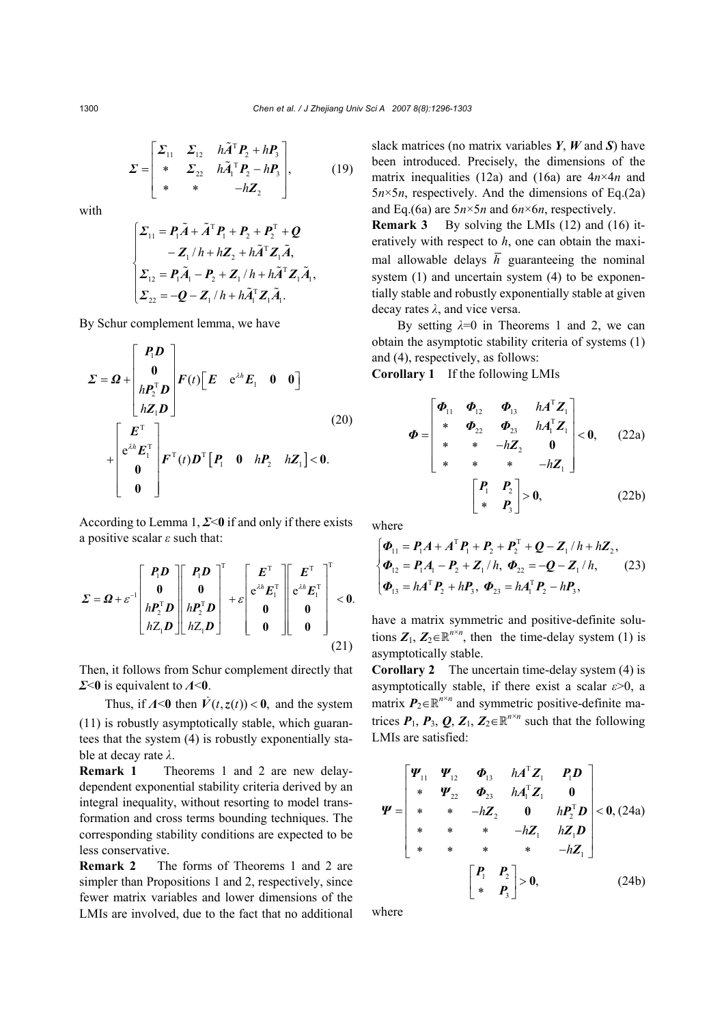$$
\Sigma = \begin{bmatrix} \Sigma_{11} & \Sigma_{12} & h\tilde{A}^{\mathrm{T}}P_2 + hP_3 \\ * & \Sigma_{22} & h\tilde{A}_1^{\mathrm{T}}P_2 - hP_3 \\ * & * & -hZ_2 \end{bmatrix},\tag{19}
$$

with

$$
\begin{cases}\n\Sigma_{11} = P_1 \tilde{A} + \tilde{A}^\mathrm{T} P_1 + P_2 + P_2^\mathrm{T} + Q \\
- Z_1 / h + hZ_2 + h \tilde{A}^\mathrm{T} Z_1 \tilde{A}, \\
\Sigma_{12} = P_1 \tilde{A}_1 - P_2 + Z_1 / h + h \tilde{A}^\mathrm{T} Z_1 \tilde{A}_1, \\
\Sigma_{22} = -Q - Z_1 / h + h \tilde{A}_1^\mathrm{T} Z_1 \tilde{A}_1.\n\end{cases}
$$

By Schur complement lemma, we have

$$
\Sigma = \Omega + \begin{bmatrix} P_1 D \\ 0 \\ h P_2^{\mathrm{T}} D \\ h Z_1 D \end{bmatrix} F(t) \begin{bmatrix} E & e^{\lambda h} E_1 & 0 & 0 \end{bmatrix}
$$
  
+ 
$$
\begin{bmatrix} E^{\mathrm{T}} \\ e^{\lambda h} E_1^{\mathrm{T}} \\ 0 \\ 0 \end{bmatrix} F^{\mathrm{T}}(t) D^{\mathrm{T}} \begin{bmatrix} P_1 & 0 & h P_2 & h Z_1 \end{bmatrix} < 0.
$$
 (20)

According to Lemma 1, *Σ*<**0** if and only if there exists a positive scalar *ε* such that:

$$
\Sigma = \Omega + \varepsilon^{-1} \begin{bmatrix} P_1 D \\ 0 \\ h P_2^{\mathrm{T}} D \\ h Z_1 D \end{bmatrix} \begin{bmatrix} P_1 D \\ 0 \\ h P_2^{\mathrm{T}} D \\ h Z_1 D \end{bmatrix}^{\mathrm{T}} + \varepsilon \begin{bmatrix} E^{\mathrm{T}} \\ e^{\lambda h} E_1^{\mathrm{T}} \\ 0 \\ 0 \end{bmatrix} \begin{bmatrix} E^{\mathrm{T}} \\ e^{\lambda h} E_1^{\mathrm{T}} \\ 0 \\ 0 \end{bmatrix}^{\mathrm{T}} < 0.
$$
\n(21)

Then, it follows from Schur complement directly that *Σ*<**0** is equivalent to *Λ*<**0**.

Thus, if  $\Lambda$ <0 then  $\dot{V}(t, z(t))$  < 0, and the system (11) is robustly asymptotically stable, which guarantees that the system (4) is robustly exponentially stable at decay rate *λ*.

**Remark 1** Theorems 1 and 2 are new delaydependent exponential stability criteria derived by an integral inequality, without resorting to model transformation and cross terms bounding techniques. The corresponding stability conditions are expected to be less conservative.

**Remark 2** The forms of Theorems 1 and 2 are simpler than Propositions 1 and 2, respectively, since fewer matrix variables and lower dimensions of the LMIs are involved, due to the fact that no additional slack matrices (no matrix variables *Y*, *W* and *S*) have been introduced. Precisely, the dimensions of the matrix inequalities (12a) and (16a) are 4*n*×4*n* and  $5n \times 5n$ , respectively. And the dimensions of Eq.(2a) and Eq.(6a) are 5*n*×5*n* and 6*n*×6*n*, respectively.

**Remark 3** By solving the LMIs (12) and (16) iteratively with respect to *h*, one can obtain the maximal allowable delays  $\overline{h}$  guaranteeing the nominal system (1) and uncertain system (4) to be exponentially stable and robustly exponentially stable at given decay rates *λ*, and vice versa.

By setting  $\lambda=0$  in Theorems 1 and 2, we can obtain the asymptotic stability criteria of systems (1) and (4), respectively, as follows:

**Corollary 1** If the following LMIs

$$
\Phi = \begin{bmatrix} \Phi_{11} & \Phi_{12} & \Phi_{13} & hA^{T}Z_{1} \\ * & \Phi_{22} & \Phi_{23} & hA_{1}^{T}Z_{1} \\ * & * & -hZ_{2} & 0 \\ * & * & * & -hZ_{1} \end{bmatrix} < 0, \quad (22a)
$$

$$
\begin{bmatrix} P_{1} & P_{2} \\ * & P_{3} \end{bmatrix} > 0, \quad (22b)
$$

where

$$
\begin{cases}\n\Phi_{11} = P_1 A + A^{\mathrm{T}} P_1 + P_2 + P_2^{\mathrm{T}} + Q - Z_1 / h + hZ_2, \\
\Phi_{12} = P_1 A_1 - P_2 + Z_1 / h, \ \Phi_{22} = -Q - Z_1 / h,\n\end{cases} (23)
$$
\n
$$
\Phi_{13} = hA^{\mathrm{T}} P_2 + hP_3, \ \Phi_{23} = hA_1^{\mathrm{T}} P_2 - hP_3,
$$

have a matrix symmetric and positive-definite solutions  $Z_1$ ,  $Z_2 \in \mathbb{R}^{n \times n}$ , then the time-delay system (1) is asymptotically stable.

**Corollary 2** The uncertain time-delay system (4) is asymptotically stable, if there exist a scalar *ε*>0, a matrix  $P_2 \in \mathbb{R}^{n \times n}$  and symmetric positive-definite matrices  $P_1$ ,  $P_3$ ,  $Q$ ,  $Z_1$ ,  $Z_2 \in \mathbb{R}^{n \times n}$  such that the following LMIs are satisfied:

$$
\Psi = \begin{bmatrix} \Psi_{11} & \Psi_{12} & \Phi_{13} & hA^{T}Z_{1} & P_{1}D \\ * & \Psi_{22} & \Phi_{23} & hA_{1}^{T}Z_{1} & 0 \\ * & * & -hZ_{2} & 0 & hP_{2}^{T}D \\ * & * & * & -hZ_{1} & hZ_{1}D \\ * & * & * & * & -hZ_{1} \end{bmatrix} < 0, (24a)
$$

$$
\begin{bmatrix} P_{1} & P_{2} \\ * & P_{3} \end{bmatrix} > 0, \qquad (24b)
$$

where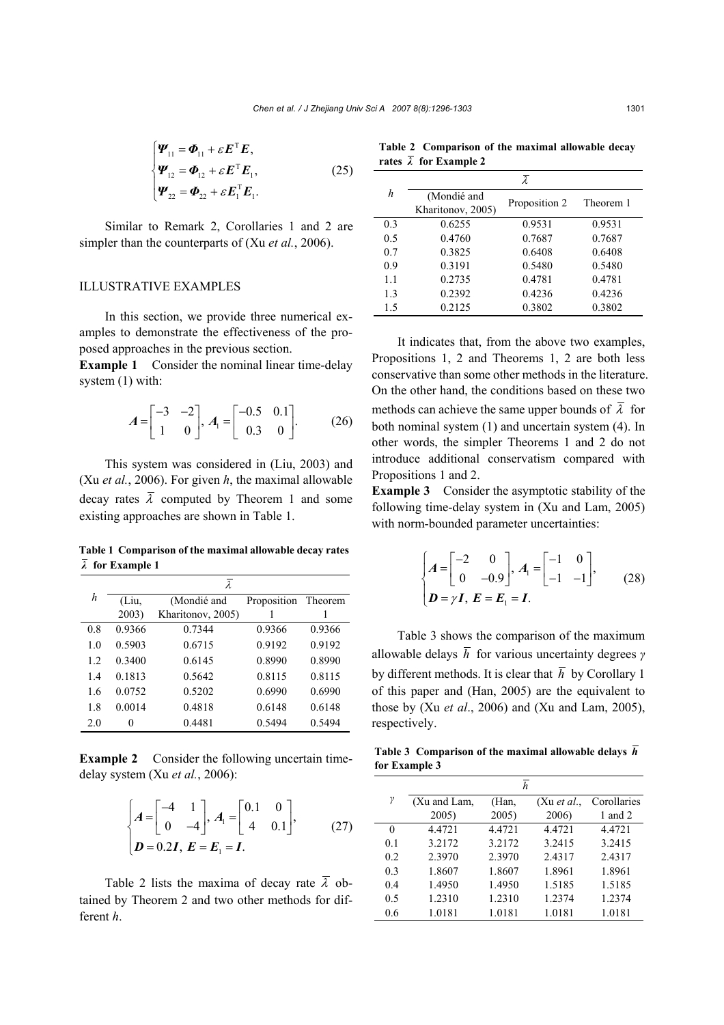$$
\begin{cases}\n\Psi_{11} = \Phi_{11} + \varepsilon E^{T} E, \n\Psi_{12} = \Phi_{12} + \varepsilon E^{T} E_{1}, \n\Psi_{22} = \Phi_{22} + \varepsilon E_{1}^{T} E_{1}.\n\end{cases}
$$
\n(25)

Similar to Remark 2, Corollaries 1 and 2 are simpler than the counterparts of (Xu *et al.*, 2006).

# ILLUSTRATIVE EXAMPLES

In this section, we provide three numerical examples to demonstrate the effectiveness of the proposed approaches in the previous section.

**Example 1** Consider the nominal linear time-delay system (1) with:

$$
A = \begin{bmatrix} -3 & -2 \\ 1 & 0 \end{bmatrix}, A_1 = \begin{bmatrix} -0.5 & 0.1 \\ 0.3 & 0 \end{bmatrix}. \tag{26}
$$

This system was considered in (Liu, 2003) and (Xu *et al.*, 2006). For given *h*, the maximal allowable decay rates  $\overline{\lambda}$  computed by Theorem 1 and some existing approaches are shown in Table 1.

**Table 1 Comparison of the maximal allowable decay rates** *λ* **for Example 1**

| h   | $\lambda$ |                   |             |         |  |
|-----|-----------|-------------------|-------------|---------|--|
|     | (Liu,     | (Mondié and       | Proposition | Theorem |  |
|     | 2003)     | Kharitonov, 2005) |             |         |  |
| 0.8 | 0.9366    | 0.7344            | 0.9366      | 0.9366  |  |
| 1.0 | 0.5903    | 0.6715            | 0.9192      | 0.9192  |  |
| 1.2 | 0.3400    | 0.6145            | 0.8990      | 0.8990  |  |
| 1.4 | 0.1813    | 0.5642            | 0.8115      | 0.8115  |  |
| 1.6 | 0.0752    | 0.5202            | 0.6990      | 0.6990  |  |
| 1.8 | 0.0014    | 0.4818            | 0.6148      | 0.6148  |  |
| 2.0 | 0         | 0.4481            | 0.5494      | 0.5494  |  |

**Example 2** Consider the following uncertain timedelay system (Xu *et al.*, 2006):

$$
\begin{cases}\nA = \begin{bmatrix} -4 & 1 \\ 0 & -4 \end{bmatrix}, A_1 = \begin{bmatrix} 0.1 & 0 \\ 4 & 0.1 \end{bmatrix}, \\
D = 0.2I, E = E_1 = I.\n\end{cases}
$$
\n(27)

Table 2 lists the maxima of decay rate  $\overline{\lambda}$  obtained by Theorem 2 and two other methods for different *h*.

**Table 2 Comparison of the maximal allowable decay** rates  $\overline{\lambda}$  for Example 2

|     | λ                                |               |           |  |  |
|-----|----------------------------------|---------------|-----------|--|--|
| h   | (Mondié and<br>Kharitonov, 2005) | Proposition 2 | Theorem 1 |  |  |
| 0.3 | 0.6255                           | 0.9531        | 0.9531    |  |  |
| 0.5 | 0.4760                           | 0.7687        | 0.7687    |  |  |
| 07  | 0.3825                           | 0.6408        | 0.6408    |  |  |
| 0.9 | 0.3191                           | 0.5480        | 0.5480    |  |  |
| 1.1 | 0.2735                           | 0.4781        | 0.4781    |  |  |
| 1.3 | 0.2392                           | 0.4236        | 0.4236    |  |  |
| 1.5 | 0.2125                           | 0.3802        | 0.3802    |  |  |

It indicates that, from the above two examples, Propositions 1, 2 and Theorems 1, 2 are both less conservative than some other methods in the literature. On the other hand, the conditions based on these two methods can achieve the same upper bounds of  $\overline{\lambda}$  for both nominal system (1) and uncertain system (4). In other words, the simpler Theorems 1 and 2 do not introduce additional conservatism compared with Propositions 1 and 2.

**Example 3** Consider the asymptotic stability of the following time-delay system in (Xu and Lam, 2005) with norm-bounded parameter uncertainties:

$$
\begin{cases}\nA = \begin{bmatrix} -2 & 0 \\ 0 & -0.9 \end{bmatrix}, A_1 = \begin{bmatrix} -1 & 0 \\ -1 & -1 \end{bmatrix}, \\
D = \gamma I, E = E_1 = I.\n\end{cases}
$$
\n(28)

Table 3 shows the comparison of the maximum allowable delays *h* for various uncertainty degrees *γ* by different methods. It is clear that  $\overline{h}$  by Corollary 1 of this paper and (Han, 2005) are the equivalent to those by (Xu *et al*., 2006) and (Xu and Lam, 2005), respectively.

**Table 3 Comparison of the maximal allowable delays** *h* **for Example 3**

|     | h            |        |             |             |  |
|-----|--------------|--------|-------------|-------------|--|
| γ   | (Xu and Lam, | (Han,  | (Xu et al., | Corollaries |  |
|     | 2005)        | 2005)  | 2006)       | 1 and 2     |  |
| 0   | 4.4721       | 4.4721 | 4.4721      | 4.4721      |  |
| 0.1 | 3.2172       | 3.2172 | 3.2415      | 3.2415      |  |
| 0.2 | 2.3970       | 2.3970 | 2.4317      | 2.4317      |  |
| 0.3 | 1.8607       | 1.8607 | 1.8961      | 1.8961      |  |
| 0.4 | 1.4950       | 1.4950 | 1.5185      | 1.5185      |  |
| 0.5 | 1.2310       | 1.2310 | 1.2374      | 1.2374      |  |
| 0.6 | 1.0181       | 1.0181 | 1.0181      | 1.0181      |  |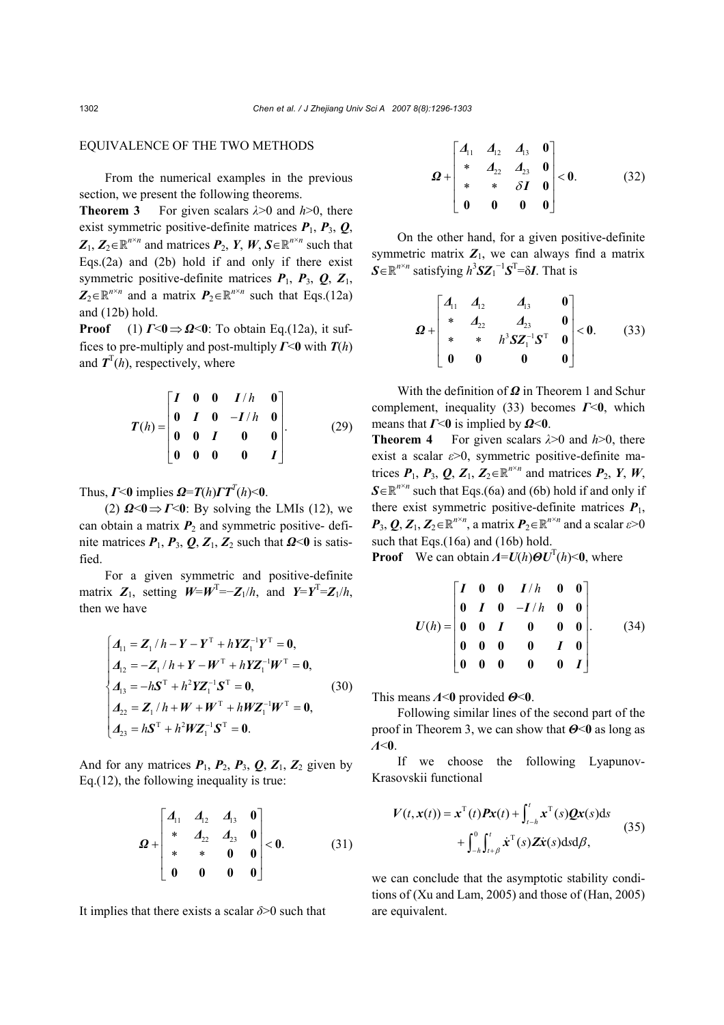# EQUIVALENCE OF THE TWO METHODS

From the numerical examples in the previous section, we present the following theorems.

**Theorem 3** For given scalars *λ*>0 and *h*>0, there exist symmetric positive-definite matrices  $P_1$ ,  $P_3$ ,  $Q_1$  $Z_1, Z_2 \in \mathbb{R}^{n \times n}$  and matrices  $P_2, Y, W, S \in \mathbb{R}^{n \times n}$  such that Eqs.(2a) and (2b) hold if and only if there exist symmetric positive-definite matrices *P*1, *P*3, *Q*, *Z*1,  $Z_2 \in \mathbb{R}^{n \times n}$  and a matrix  $P_2 \in \mathbb{R}^{n \times n}$  such that Eqs.(12a) and (12b) hold.

**Proof** (1)  $\Gamma \leq 0 \Rightarrow \Omega \leq 0$ : To obtain Eq.(12a), it suffices to pre-multiply and post-multiply *Γ*<**0** with *T*(*h*) and  $T<sup>T</sup>(h)$ , respectively, where

$$
T(h) = \begin{bmatrix} I & 0 & 0 & I/h & 0 \\ 0 & I & 0 & -I/h & 0 \\ 0 & 0 & I & 0 & 0 \\ 0 & 0 & 0 & 0 & I \end{bmatrix}.
$$
 (29)

Thus,  $\Gamma$ <0 implies  $\Omega = T(h) \Gamma T^{T}(h)$ <0.

(2)  $\mathbf{\Omega} \leq 0 \Rightarrow \mathbf{\Gamma} \leq 0$ : By solving the LMIs (12), we can obtain a matrix  $P_2$  and symmetric positive- definite matrices  $P_1$ ,  $P_3$ ,  $Q$ ,  $Z_1$ ,  $Z_2$  such that  $Q<0$  is satisfied.

For a given symmetric and positive-definite matrix  $Z_1$ , setting  $W = W^T = -Z_1/h$ , and  $Y = Y^T = Z_1/h$ , then we have

$$
\begin{cases}\nA_{11} = \mathbf{Z}_1 / h - \mathbf{Y} - \mathbf{Y}^{\mathrm{T}} + h \mathbf{Y} \mathbf{Z}_1^{-1} \mathbf{Y}^{\mathrm{T}} = \mathbf{0}, \\
A_{12} = -\mathbf{Z}_1 / h + \mathbf{Y} - \mathbf{W}^{\mathrm{T}} + h \mathbf{Y} \mathbf{Z}_1^{-1} \mathbf{W}^{\mathrm{T}} = \mathbf{0}, \\
A_{13} = -h \mathbf{S}^{\mathrm{T}} + h^2 \mathbf{Y} \mathbf{Z}_1^{-1} \mathbf{S}^{\mathrm{T}} = \mathbf{0}, \\
A_{22} = \mathbf{Z}_1 / h + \mathbf{W} + \mathbf{W}^{\mathrm{T}} + h \mathbf{W} \mathbf{Z}_1^{-1} \mathbf{W}^{\mathrm{T}} = \mathbf{0}, \\
A_{23} = h \mathbf{S}^{\mathrm{T}} + h^2 \mathbf{W} \mathbf{Z}_1^{-1} \mathbf{S}^{\mathrm{T}} = \mathbf{0}.\n\end{cases} (30)
$$

And for any matrices  $P_1$ ,  $P_2$ ,  $P_3$ ,  $Q$ ,  $Z_1$ ,  $Z_2$  given by Eq.(12), the following inequality is true:

$$
\Omega + \begin{bmatrix} d_{11} & d_{12} & d_{13} & 0 \\ * & d_{22} & d_{23} & 0 \\ * & * & 0 & 0 \\ 0 & 0 & 0 & 0 \end{bmatrix} < 0.
$$
 (31)

It implies that there exists a scalar *δ*>0 such that

$$
\Omega + \begin{bmatrix} A_{11} & A_{12} & A_{13} & 0 \\ * & A_{22} & A_{23} & 0 \\ * & * & \delta I & 0 \\ 0 & 0 & 0 & 0 \end{bmatrix} < 0.
$$
 (32)

On the other hand, for a given positive-definite symmetric matrix  $Z_1$ , we can always find a matrix  $S \in \mathbb{R}^{n \times n}$  satisfying  $h^3 S Z_1^{-1} S^T = \delta I$ . That is

$$
\boldsymbol{\Omega} + \begin{bmatrix} A_{11} & A_{12} & A_{13} & 0 \\ * & A_{22} & A_{23} & 0 \\ * & * & h^3 \mathbf{S} \mathbf{Z}_1^{-1} \mathbf{S}^T & 0 \\ 0 & 0 & 0 & 0 \end{bmatrix} < 0. \tag{33}
$$

With the definition of *Ω* in Theorem 1 and Schur complement, inequality (33) becomes *Γ*<**0**, which means that  $\Gamma$ <0 is implied by  $\Omega$ <0.

**Theorem 4** For given scalars *λ*>0 and *h*>0, there exist a scalar *ε*>0, symmetric positive-definite matrices  $P_1$ ,  $P_3$ ,  $Q$ ,  $Z_1$ ,  $Z_2 \in \mathbb{R}^{n \times n}$  and matrices  $P_2$ ,  $Y$ ,  $W$ ,  $S \in \mathbb{R}^{n \times n}$  such that Eqs.(6a) and (6b) hold if and only if there exist symmetric positive-definite matrices  $P_1$ ,  $P_3$ ,  $Q$ ,  $Z_1$ ,  $Z_2 \in \mathbb{R}^{n \times n}$ , a matrix  $P_2 \in \mathbb{R}^{n \times n}$  and a scalar  $\varepsilon > 0$ such that Eqs.(16a) and (16b) hold.

**Proof** We can obtain  $A = U(h) \Theta U^{T}(h) < 0$ , where

$$
U(h) = \begin{bmatrix} I & 0 & 0 & I/h & 0 & 0 \\ 0 & I & 0 & -I/h & 0 & 0 \\ 0 & 0 & I & 0 & 0 & 0 \\ 0 & 0 & 0 & 0 & I & 0 \\ 0 & 0 & 0 & 0 & 0 & I \end{bmatrix}.
$$
 (34)

This means *Λ*<**0** provided *Θ*<**0**.

Following similar lines of the second part of the proof in Theorem 3, we can show that *Θ*<**0** as long as *Λ*<**0**.

If we choose the following Lyapunov-Krasovskii functional

$$
V(t, x(t)) = x^{\mathrm{T}}(t)Px(t) + \int_{t-h}^{t} x^{\mathrm{T}}(s)Qx(s)ds
$$
  
+ 
$$
\int_{-h}^{0} \int_{t+\beta}^{t} x^{\mathrm{T}}(s)Zx(s)dsd\beta,
$$
 (35)

we can conclude that the asymptotic stability conditions of (Xu and Lam, 2005) and those of (Han, 2005) are equivalent.